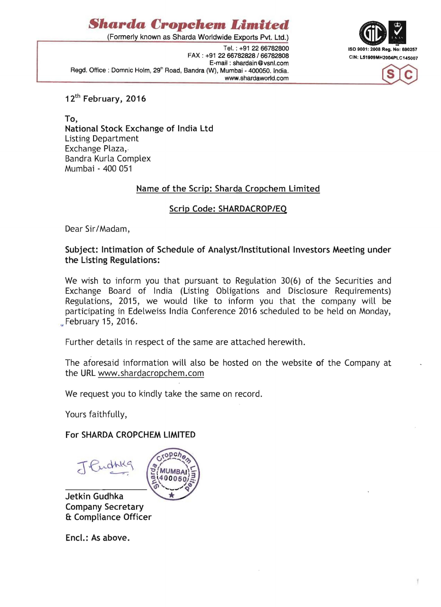# *Sharda Cropehem Limited*

(Formerly known as Sharda Worldwide Exports Pvt. Ltd.)

Tel. : +91 2266782800 FAX: +91 22 66782828 / 66782808 CIN: L51909MH2004PLC145007 E-mail : shardain@vsnl.com Regd. Office: Domnic Holm, 29<sup>th</sup> Road, Bandra (W), Mumbai - 400050. India. www.shardaworld.com





12<sup>th</sup> February, 2016

To, National Stock Exchange of India Ltd Listing Department Exchange Plaza,- Bandra Kurla Complex Mumbai - 400 051

#### Name of the Scrip: Sharda Cropchem Limited

### Scrip Code: SHARDACROP/EQ

Dear Sir/Madam,

#### Subject: Intimation of Schedule of Analyst/Institutional Investors Meeting under the Listing Regulations:

We wish to inform you that pursuant to Regulation 30(6) of the Securities and Exchange Board of India (Listing Obligations and Disclosure Requirements) Regulations, 2015, we would like to inform you that the company will be participating in Edelweiss India Conference 2016 scheduled to be held on Monday, .. February 15, 2016.

Further details in respect of the same are attached herewith.

The aforesaid information will also be hosted on the website of the Company at the URL www.shardacropchem.com

We request you to kindly take the same on record.

Yours faithfully,

#### For SHARDA CROPCHEM LIMITED

JEuchie



Jetkin Gudhka Company Secretary ft Compliance Officer

Encl.: As above.